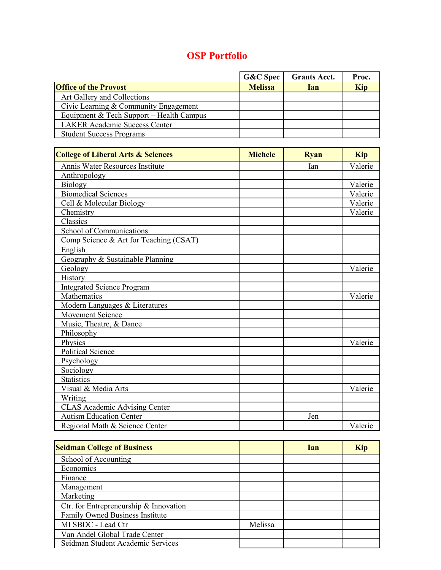## **OSP Portfolio**

|                                          | <b>G&amp;C</b> Spec | <b>Grants Acct.</b> | Proc.      |
|------------------------------------------|---------------------|---------------------|------------|
| <b>Office of the Provost</b>             | <b>Melissa</b>      | <b>Ian</b>          | <b>Kip</b> |
| Art Gallery and Collections              |                     |                     |            |
| Civic Learning & Community Engagement    |                     |                     |            |
| Equipment & Tech Support – Health Campus |                     |                     |            |
| <b>LAKER Academic Success Center</b>     |                     |                     |            |
| <b>Student Success Programs</b>          |                     |                     |            |

| <b>College of Liberal Arts &amp; Sciences</b> | <b>Michele</b> | <b>Ryan</b> | <b>Kip</b> |
|-----------------------------------------------|----------------|-------------|------------|
| Annis Water Resources Institute               |                | Ian         | Valerie    |
| Anthropology                                  |                |             |            |
| Biology                                       |                |             | Valerie    |
| <b>Biomedical Sciences</b>                    |                |             | Valerie    |
| Cell & Molecular Biology                      |                |             | Valerie    |
| Chemistry                                     |                |             | Valerie    |
| Classics                                      |                |             |            |
| School of Communications                      |                |             |            |
| Comp Science & Art for Teaching (CSAT)        |                |             |            |
| English                                       |                |             |            |
| Geography & Sustainable Planning              |                |             |            |
| Geology                                       |                |             | Valerie    |
| History                                       |                |             |            |
| <b>Integrated Science Program</b>             |                |             |            |
| Mathematics                                   |                |             | Valerie    |
| Modern Languages & Literatures                |                |             |            |
| Movement Science                              |                |             |            |
| Music, Theatre, & Dance                       |                |             |            |
| Philosophy                                    |                |             |            |
| Physics                                       |                |             | Valerie    |
| Political Science                             |                |             |            |
| Psychology                                    |                |             |            |
| Sociology                                     |                |             |            |
| <b>Statistics</b>                             |                |             |            |
| Visual & Media Arts                           |                |             | Valerie    |
| Writing                                       |                |             |            |
| <b>CLAS Academic Advising Center</b>          |                |             |            |
| <b>Autism Education Center</b>                |                | Jen         |            |
| Regional Math & Science Center                |                |             | Valerie    |

| <b>Seidman College of Business</b>     |         | <b>Ian</b> | <b>Kip</b> |
|----------------------------------------|---------|------------|------------|
| School of Accounting                   |         |            |            |
| Economics                              |         |            |            |
| Finance                                |         |            |            |
| Management                             |         |            |            |
| Marketing                              |         |            |            |
| Ctr. for Entrepreneurship & Innovation |         |            |            |
| Family Owned Business Institute        |         |            |            |
| MI SBDC - Lead Ctr                     | Melissa |            |            |
| Van Andel Global Trade Center          |         |            |            |
| Seidman Student Academic Services      |         |            |            |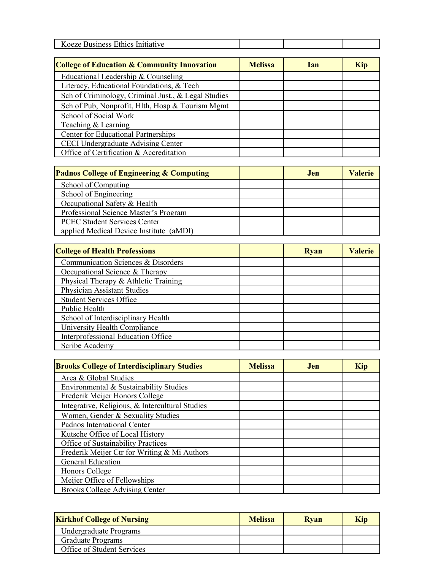| --<br>K<br>oeze<br>$\overline{100}$<br>muative<br>siness<br>мu<br>TICS |  |  |
|------------------------------------------------------------------------|--|--|

| <b>College of Education &amp; Community Innovation</b> | <b>Melissa</b> | <b>Ian</b> | <b>Kip</b> |
|--------------------------------------------------------|----------------|------------|------------|
| Educational Leadership & Counseling                    |                |            |            |
| Literacy, Educational Foundations, & Tech              |                |            |            |
| Sch of Criminology, Criminal Just., & Legal Studies    |                |            |            |
| Sch of Pub, Nonprofit, Hlth, Hosp & Tourism Mgmt       |                |            |            |
| School of Social Work                                  |                |            |            |
| Teaching & Learning                                    |                |            |            |
| <b>Center for Educational Partnerships</b>             |                |            |            |
| <b>CECI Undergraduate Advising Center</b>              |                |            |            |
| Office of Certification & Accreditation                |                |            |            |

| <b>Padnos College of Engineering &amp; Computing</b> | .len | <b>Valerie</b> |
|------------------------------------------------------|------|----------------|
| School of Computing                                  |      |                |
| School of Engineering                                |      |                |
| Occupational Safety & Health                         |      |                |
| Professional Science Master's Program                |      |                |
| <b>PCEC Student Services Center</b>                  |      |                |
| applied Medical Device Institute (aMDI)              |      |                |

| <b>College of Health Professions</b>      | <b>Ryan</b> | <b>Valerie</b> |
|-------------------------------------------|-------------|----------------|
| Communication Sciences & Disorders        |             |                |
| Occupational Science & Therapy            |             |                |
| Physical Therapy & Athletic Training      |             |                |
| Physician Assistant Studies               |             |                |
| <b>Student Services Office</b>            |             |                |
| Public Health                             |             |                |
| School of Interdisciplinary Health        |             |                |
| University Health Compliance              |             |                |
| <b>Interprofessional Education Office</b> |             |                |
| Scribe Academy                            |             |                |

| <b>Brooks College of Interdisciplinary Studies</b> | <b>Melissa</b> | Jen. | <b>Kip</b> |
|----------------------------------------------------|----------------|------|------------|
| Area & Global Studies                              |                |      |            |
| Environmental & Sustainability Studies             |                |      |            |
| Frederik Meijer Honors College                     |                |      |            |
| Integrative, Religious, & Intercultural Studies    |                |      |            |
| Women, Gender & Sexuality Studies                  |                |      |            |
| Padnos International Center                        |                |      |            |
| Kutsche Office of Local History                    |                |      |            |
| Office of Sustainability Practices                 |                |      |            |
| Frederik Meijer Ctr for Writing & Mi Authors       |                |      |            |
| <b>General Education</b>                           |                |      |            |
| Honors College                                     |                |      |            |
| Meijer Office of Fellowships                       |                |      |            |
| <b>Brooks College Advising Center</b>              |                |      |            |

| <b>Kirkhof College of Nursing</b> | <b>Melissa</b> | Rvan | Kip |
|-----------------------------------|----------------|------|-----|
| Undergraduate Programs            |                |      |     |
| <b>Graduate Programs</b>          |                |      |     |
| Office of Student Services        |                |      |     |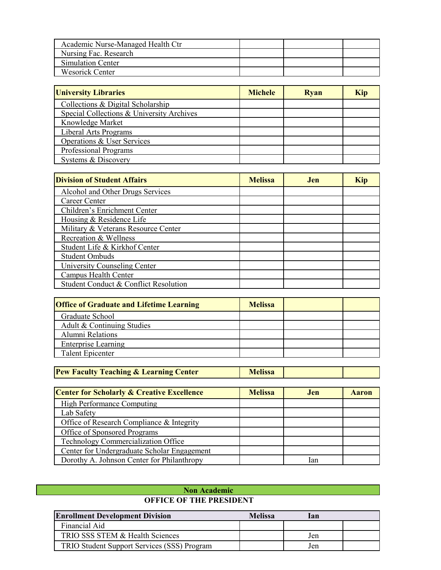| Academic Nurse-Managed Health Ctr |  |  |
|-----------------------------------|--|--|
| Nursing Fac. Research             |  |  |
| Simulation Center                 |  |  |
| Wesorick Center                   |  |  |

| <b>University Libraries</b>               | <b>Michele</b> | <b>Ryan</b> | <b>Kip</b> |
|-------------------------------------------|----------------|-------------|------------|
| Collections & Digital Scholarship         |                |             |            |
| Special Collections & University Archives |                |             |            |
| Knowledge Market                          |                |             |            |
| Liberal Arts Programs                     |                |             |            |
| Operations & User Services                |                |             |            |
| Professional Programs                     |                |             |            |
| Systems & Discovery                       |                |             |            |

| <b>Division of Student Affairs</b>    | <b>Melissa</b> | Jen. | Kip |
|---------------------------------------|----------------|------|-----|
| Alcohol and Other Drugs Services      |                |      |     |
| Career Center                         |                |      |     |
| Children's Enrichment Center          |                |      |     |
| Housing & Residence Life              |                |      |     |
| Military & Veterans Resource Center   |                |      |     |
| Recreation & Wellness                 |                |      |     |
| Student Life & Kirkhof Center         |                |      |     |
| Student Ombuds                        |                |      |     |
| University Counseling Center          |                |      |     |
| Campus Health Center                  |                |      |     |
| Student Conduct & Conflict Resolution |                |      |     |

| <b>Office of Graduate and Lifetime Learning</b> | <b>Melissa</b> |  |
|-------------------------------------------------|----------------|--|
| Graduate School                                 |                |  |
| Adult & Continuing Studies                      |                |  |
| Alumni Relations                                |                |  |
| <b>Enterprise Learning</b>                      |                |  |
| <b>Talent Epicenter</b>                         |                |  |

|  | <b>Pew Faculty Teaching &amp; Learning Center</b> | <b>Melissa</b> |  |  |
|--|---------------------------------------------------|----------------|--|--|
|--|---------------------------------------------------|----------------|--|--|

| <b>Center for Scholarly &amp; Creative Excellence</b> | <b>Melissa</b> | Jen. | <b>Aaron</b> |
|-------------------------------------------------------|----------------|------|--------------|
| <b>High Performance Computing</b>                     |                |      |              |
| Lab Safety                                            |                |      |              |
| Office of Research Compliance & Integrity             |                |      |              |
| Office of Sponsored Programs                          |                |      |              |
| Technology Commercialization Office                   |                |      |              |
| Center for Undergraduate Scholar Engagement           |                |      |              |
| Dorothy A. Johnson Center for Philanthropy            |                | lan  |              |

## **Non Academic OFFICE OF THE PRESIDENT**

| <b>Enrollment Development Division</b>      | <b>Melissa</b> | lan |  |
|---------------------------------------------|----------------|-----|--|
| Financial Aid                               |                |     |  |
| TRIO SSS STEM & Health Sciences             |                | Jen |  |
| TRIO Student Support Services (SSS) Program |                | Jen |  |